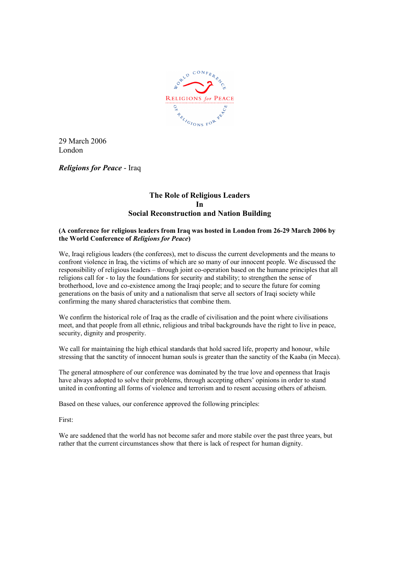

29 March 2006 London

Religions for Peace - Iraq

# The Role of Religious Leaders In Social Reconstruction and Nation Building

# (A conference for religious leaders from Iraq was hosted in London from 26-29 March 2006 by the World Conference of Religions for Peace)

We. Iraqi religious leaders (the conferees), met to discuss the current developments and the means to confront violence in Iraq, the victims of which are so many of our innocent people. We discussed the responsibility of religious leaders – through joint co-operation based on the humane principles that all religions call for - to lay the foundations for security and stability; to strengthen the sense of brotherhood, love and co-existence among the Iraqi people; and to secure the future for coming generations on the basis of unity and a nationalism that serve all sectors of Iraqi society while confirming the many shared characteristics that combine them.

We confirm the historical role of Iraq as the cradle of civilisation and the point where civilisations meet, and that people from all ethnic, religious and tribal backgrounds have the right to live in peace, security, dignity and prosperity.

We call for maintaining the high ethical standards that hold sacred life, property and honour, while stressing that the sanctity of innocent human souls is greater than the sanctity of the Kaaba (in Mecca).

The general atmosphere of our conference was dominated by the true love and openness that Iraqis have always adopted to solve their problems, through accepting others' opinions in order to stand united in confronting all forms of violence and terrorism and to resent accusing others of atheism.

Based on these values, our conference approved the following principles:

First:

We are saddened that the world has not become safer and more stabile over the past three years, but rather that the current circumstances show that there is lack of respect for human dignity.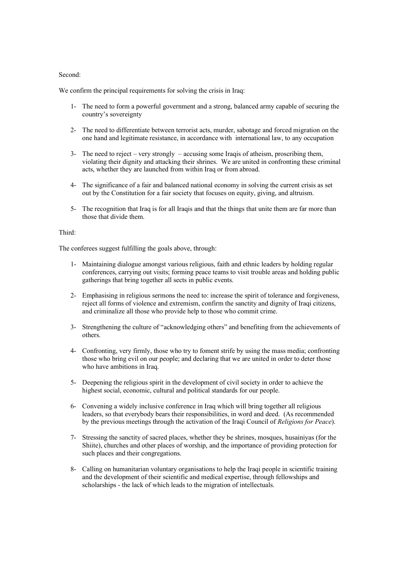#### Second:

We confirm the principal requirements for solving the crisis in Iraq:

- 1- The need to form a powerful government and a strong, balanced army capable of securing the country's sovereignty
- 2- The need to differentiate between terrorist acts, murder, sabotage and forced migration on the one hand and legitimate resistance, in accordance with international law, to any occupation
- 3- The need to reject very strongly accusing some Iraqis of atheism, proscribing them, violating their dignity and attacking their shrines. We are united in confronting these criminal acts, whether they are launched from within Iraq or from abroad.
- 4- The significance of a fair and balanced national economy in solving the current crisis as set out by the Constitution for a fair society that focuses on equity, giving, and altruism.
- 5- The recognition that Iraq is for all Iraqis and that the things that unite them are far more than those that divide them.

### Third:

The conferees suggest fulfilling the goals above, through:

- 1- Maintaining dialogue amongst various religious, faith and ethnic leaders by holding regular conferences, carrying out visits; forming peace teams to visit trouble areas and holding public gatherings that bring together all sects in public events.
- 2- Emphasising in religious sermons the need to: increase the spirit of tolerance and forgiveness, reject all forms of violence and extremism, confirm the sanctity and dignity of Iraqi citizens, and criminalize all those who provide help to those who commit crime.
- 3- Strengthening the culture of "acknowledging others" and benefiting from the achievements of others.
- 4- Confronting, very firmly, those who try to foment strife by using the mass media; confronting those who bring evil on our people; and declaring that we are united in order to deter those who have ambitions in Iraq.
- 5- Deepening the religious spirit in the development of civil society in order to achieve the highest social, economic, cultural and political standards for our people.
- 6- Convening a widely inclusive conference in Iraq which will bring together all religious leaders, so that everybody bears their responsibilities, in word and deed. (As recommended by the previous meetings through the activation of the Iraqi Council of Religions for Peace).
- 7- Stressing the sanctity of sacred places, whether they be shrines, mosques, husainiyas (for the Shiite), churches and other places of worship, and the importance of providing protection for such places and their congregations.
- 8- Calling on humanitarian voluntary organisations to help the Iraqi people in scientific training and the development of their scientific and medical expertise, through fellowships and scholarships - the lack of which leads to the migration of intellectuals.